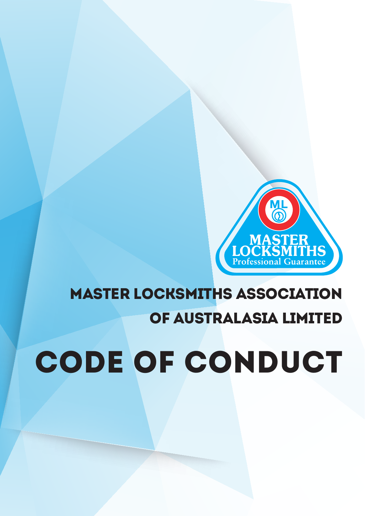# CODE OF CONDUCT

# **MAS1** ER Profess MASTER LOCKSMITHS ASSOCIATION

of australasia limited

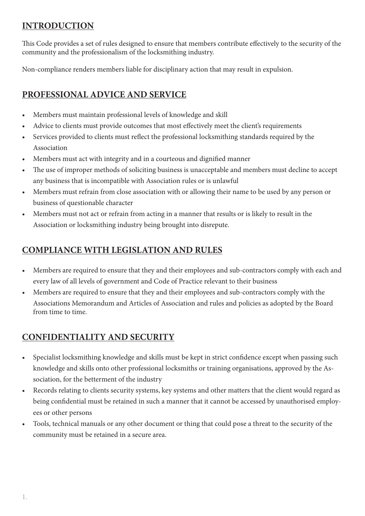#### **INTRODUCTION**

This Code provides a set of rules designed to ensure that members contribute effectively to the security of the community and the professionalism of the locksmithing industry.

Non-compliance renders members liable for disciplinary action that may result in expulsion.

#### **PROFESSIONAL ADVICE AND SERVICE**

- Members must maintain professional levels of knowledge and skill
- Advice to clients must provide outcomes that most effectively meet the client's requirements
- Services provided to clients must reflect the professional locksmithing standards required by the Association
- Members must act with integrity and in a courteous and dignified manner
- The use of improper methods of soliciting business is unacceptable and members must decline to accept any business that is incompatible with Association rules or is unlawful
- Members must refrain from close association with or allowing their name to be used by any person or business of questionable character
- Members must not act or refrain from acting in a manner that results or is likely to result in the Association or locksmithing industry being brought into disrepute.

# **COMPLIANCE WITH LEGISLATION AND RULES**

- Members are required to ensure that they and their employees and sub-contractors comply with each and every law of all levels of government and Code of Practice relevant to their business
- Members are required to ensure that they and their employees and sub-contractors comply with the Associations Memorandum and Articles of Association and rules and policies as adopted by the Board from time to time.

# **CONFIDENTIALITY AND SECURITY**

- Specialist locksmithing knowledge and skills must be kept in strict confidence except when passing such knowledge and skills onto other professional locksmiths or training organisations, approved by the Association, for the betterment of the industry
- Records relating to clients security systems, key systems and other matters that the client would regard as being confidential must be retained in such a manner that it cannot be accessed by unauthorised employees or other persons
- • Tools, technical manuals or any other document or thing that could pose a threat to the security of the community must be retained in a secure area.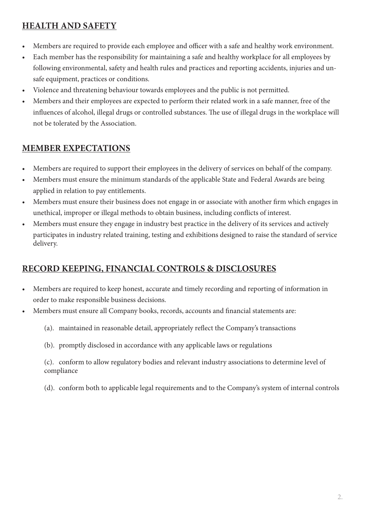#### **HEALTH AND SAFETY**

- Members are required to provide each employee and officer with a safe and healthy work environment.
- • Each member has the responsibility for maintaining a safe and healthy workplace for all employees by following environmental, safety and health rules and practices and reporting accidents, injuries and unsafe equipment, practices or conditions.
- Violence and threatening behaviour towards employees and the public is not permitted.
- Members and their employees are expected to perform their related work in a safe manner, free of the influences of alcohol, illegal drugs or controlled substances. The use of illegal drugs in the workplace will not be tolerated by the Association.

# **MEMBER EXPECTATIONS**

- Members are required to support their employees in the delivery of services on behalf of the company.
- Members must ensure the minimum standards of the applicable State and Federal Awards are being applied in relation to pay entitlements.
- Members must ensure their business does not engage in or associate with another firm which engages in unethical, improper or illegal methods to obtain business, including conflicts of interest.
- Members must ensure they engage in industry best practice in the delivery of its services and actively participates in industry related training, testing and exhibitions designed to raise the standard of service delivery.

# **RECORD KEEPING, FINANCIAL CONTROLS & DISCLOSURES**

- Members are required to keep honest, accurate and timely recording and reporting of information in order to make responsible business decisions.
- Members must ensure all Company books, records, accounts and financial statements are:
	- (a). maintained in reasonable detail, appropriately reflect the Company's transactions
	- (b). promptly disclosed in accordance with any applicable laws or regulations

(c). conform to allow regulatory bodies and relevant industry associations to determine level of compliance

(d). conform both to applicable legal requirements and to the Company's system of internal controls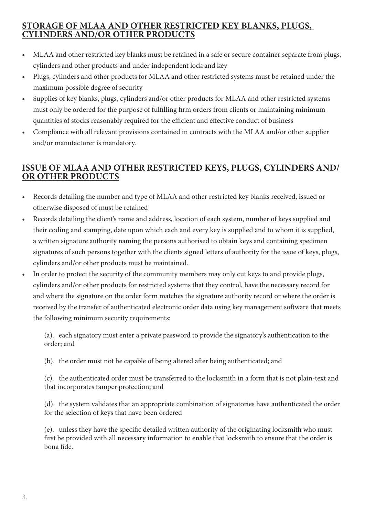#### **STORAGE OF MLAA AND OTHER RESTRICTED KEY BLANKS, PLUGS, CYLINDERS AND/OR OTHER PRODUCTS**

- MLAA and other restricted key blanks must be retained in a safe or secure container separate from plugs, cylinders and other products and under independent lock and key
- Plugs, cylinders and other products for MLAA and other restricted systems must be retained under the maximum possible degree of security
- Supplies of key blanks, plugs, cylinders and/or other products for MLAA and other restricted systems must only be ordered for the purpose of fulfilling firm orders from clients or maintaining minimum quantities of stocks reasonably required for the efficient and effective conduct of business
- Compliance with all relevant provisions contained in contracts with the MLAA and/or other supplier and/or manufacturer is mandatory.

#### **ISSUE OF MLAA AND OTHER RESTRICTED KEYS, PLUGS, CYLINDERS AND/ OR OTHER PRODUCTS**

- Records detailing the number and type of MLAA and other restricted key blanks received, issued or otherwise disposed of must be retained
- Records detailing the client's name and address, location of each system, number of keys supplied and their coding and stamping, date upon which each and every key is supplied and to whom it is supplied, a written signature authority naming the persons authorised to obtain keys and containing specimen signatures of such persons together with the clients signed letters of authority for the issue of keys, plugs, cylinders and/or other products must be maintained.
- In order to protect the security of the community members may only cut keys to and provide plugs, cylinders and/or other products for restricted systems that they control, have the necessary record for and where the signature on the order form matches the signature authority record or where the order is received by the transfer of authenticated electronic order data using key management software that meets the following minimum security requirements:

(a). each signatory must enter a private password to provide the signatory's authentication to the order; and

(b). the order must not be capable of being altered after being authenticated; and

(c). the authenticated order must be transferred to the locksmith in a form that is not plain-text and that incorporates tamper protection; and

(d). the system validates that an appropriate combination of signatories have authenticated the order for the selection of keys that have been ordered

(e). unless they have the specific detailed written authority of the originating locksmith who must first be provided with all necessary information to enable that locksmith to ensure that the order is bona fide.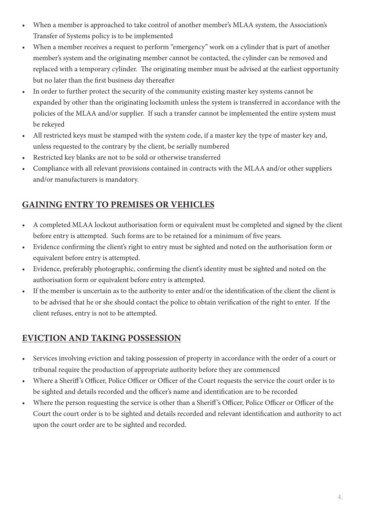- When a member is approached to take control of another member's MLAA system, the Association's Transfer of Systems policy is to be implemented
- When a member receives a request to perform "emergency" work on a cylinder that is part of another member's system and the originating member cannot be contacted, the cylinder can be removed and replaced with a temporary cylinder. The originating member must be advised at the earliest opportunity but no later than the first business day thereafter
- In order to further protect the security of the community existing master key systems cannot be expanded by other than the originating locksmith unless the system is transferred in accordance with the policies of the MLAA and/or supplier. If such a transfer cannot be implemented the entire system must be rekeyed
- All restricted keys must be stamped with the system code, if a master key the type of master key and, unless requested to the contrary by the client, be serially numbered
- Restricted key blanks are not to be sold or otherwise transferred
- Compliance with all relevant provisions contained in contracts with the MLAA and/or other suppliers and/or manufacturers is mandatory.

# **GAINING ENTRY TO PREMISES OR VEHICLES**

- • A completed MLAA lockout authorisation form or equivalent must be completed and signed by the client before entry is attempted. Such forms are to be retained for a minimum of five years.
- Evidence confirming the client's right to entry must be sighted and noted on the authorisation form or equivalent before entry is attempted.
- Evidence, preferably photographic, confirming the client's identity must be sighted and noted on the authorisation form or equivalent before entry is attempted.
- If the member is uncertain as to the authority to enter and/or the identification of the client the client is to be advised that he or she should contact the police to obtain verification of the right to enter. If the client refuses, entry is not to be attempted.

# **EVICTION AND TAKING POSSESSION**

- Services involving eviction and taking possession of property in accordance with the order of a court or tribunal require the production of appropriate authority before they are commenced
- Where a Sheriff's Officer, Police Officer or Officer of the Court requests the service the court order is to be sighted and details recorded and the officer's name and identification are to be recorded
- Where the person requesting the service is other than a Sheriff's Officer, Police Officer or Officer of the Court the court order is to be sighted and details recorded and relevant identification and authority to act upon the court order are to be sighted and recorded.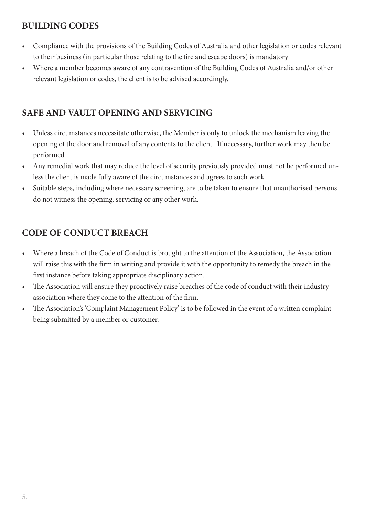#### **BUILDING CODES**

- Compliance with the provisions of the Building Codes of Australia and other legislation or codes relevant to their business (in particular those relating to the fire and escape doors) is mandatory
- Where a member becomes aware of any contravention of the Building Codes of Australia and/or other relevant legislation or codes, the client is to be advised accordingly.

#### **SAFE AND VAULT OPENING AND SERVICING**

- Unless circumstances necessitate otherwise, the Member is only to unlock the mechanism leaving the opening of the door and removal of any contents to the client. If necessary, further work may then be performed
- Any remedial work that may reduce the level of security previously provided must not be performed unless the client is made fully aware of the circumstances and agrees to such work
- Suitable steps, including where necessary screening, are to be taken to ensure that unauthorised persons do not witness the opening, servicing or any other work.

# **CODE OF CONDUCT BREACH**

- • Where a breach of the Code of Conduct is brought to the attention of the Association, the Association will raise this with the firm in writing and provide it with the opportunity to remedy the breach in the first instance before taking appropriate disciplinary action.
- The Association will ensure they proactively raise breaches of the code of conduct with their industry association where they come to the attention of the firm.
- The Association's 'Complaint Management Policy' is to be followed in the event of a written complaint being submitted by a member or customer.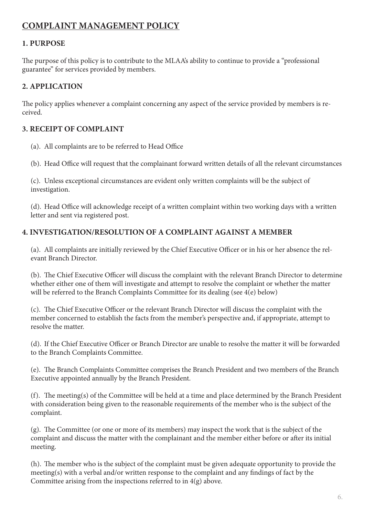#### **COMPLAINT MANAGEMENT POLICY**

#### **1. PURPOSE**

The purpose of this policy is to contribute to the MLAA's ability to continue to provide a "professional guarantee" for services provided by members.

#### **2. APPLICATION**

The policy applies whenever a complaint concerning any aspect of the service provided by members is received.

#### **3. RECEIPT OF COMPLAINT**

- (a). All complaints are to be referred to Head Office
- (b). Head Office will request that the complainant forward written details of all the relevant circumstances

(c). Unless exceptional circumstances are evident only written complaints will be the subject of investigation.

(d). Head Office will acknowledge receipt of a written complaint within two working days with a written letter and sent via registered post.

#### **4. INVESTIGATION/RESOLUTION OF A COMPLAINT AGAINST A MEMBER**

(a). All complaints are initially reviewed by the Chief Executive Officer or in his or her absence the relevant Branch Director.

(b). The Chief Executive Officer will discuss the complaint with the relevant Branch Director to determine whether either one of them will investigate and attempt to resolve the complaint or whether the matter will be referred to the Branch Complaints Committee for its dealing (see 4(e) below)

(c). The Chief Executive Officer or the relevant Branch Director will discuss the complaint with the member concerned to establish the facts from the member's perspective and, if appropriate, attempt to resolve the matter.

(d). If the Chief Executive Officer or Branch Director are unable to resolve the matter it will be forwarded to the Branch Complaints Committee.

(e). The Branch Complaints Committee comprises the Branch President and two members of the Branch Executive appointed annually by the Branch President.

(f). The meeting(s) of the Committee will be held at a time and place determined by the Branch President with consideration being given to the reasonable requirements of the member who is the subject of the complaint.

(g). The Committee (or one or more of its members) may inspect the work that is the subject of the complaint and discuss the matter with the complainant and the member either before or after its initial meeting.

(h). The member who is the subject of the complaint must be given adequate opportunity to provide the meeting(s) with a verbal and/or written response to the complaint and any findings of fact by the Committee arising from the inspections referred to in 4(g) above.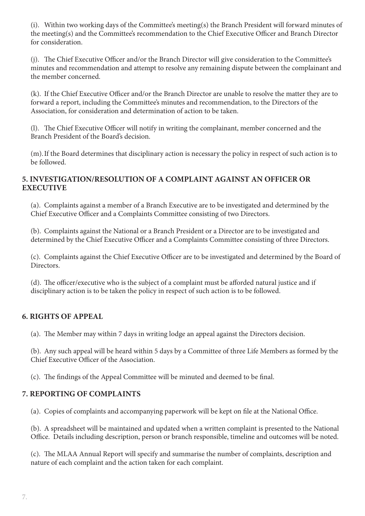(i). Within two working days of the Committee's meeting(s) the Branch President will forward minutes of the meeting(s) and the Committee's recommendation to the Chief Executive Officer and Branch Director for consideration.

(j). The Chief Executive Officer and/or the Branch Director will give consideration to the Committee's minutes and recommendation and attempt to resolve any remaining dispute between the complainant and the member concerned.

(k). If the Chief Executive Officer and/or the Branch Director are unable to resolve the matter they are to forward a report, including the Committee's minutes and recommendation, to the Directors of the Association, for consideration and determination of action to be taken.

(l). The Chief Executive Officer will notify in writing the complainant, member concerned and the Branch President of the Board's decision.

(m).If the Board determines that disciplinary action is necessary the policy in respect of such action is to be followed.

#### **5. INVESTIGATION/RESOLUTION OF A COMPLAINT AGAINST AN OFFICER OR EXECUTIVE**

(a). Complaints against a member of a Branch Executive are to be investigated and determined by the Chief Executive Officer and a Complaints Committee consisting of two Directors.

(b). Complaints against the National or a Branch President or a Director are to be investigated and determined by the Chief Executive Officer and a Complaints Committee consisting of three Directors.

(c). Complaints against the Chief Executive Officer are to be investigated and determined by the Board of Directors.

(d). The officer/executive who is the subject of a complaint must be afforded natural justice and if disciplinary action is to be taken the policy in respect of such action is to be followed.

#### **6. RIGHTS OF APPEAL**

(a). The Member may within 7 days in writing lodge an appeal against the Directors decision.

(b). Any such appeal will be heard within 5 days by a Committee of three Life Members as formed by the Chief Executive Officer of the Association.

(c). The findings of the Appeal Committee will be minuted and deemed to be final.

#### **7. REPORTING OF COMPLAINTS**

(a). Copies of complaints and accompanying paperwork will be kept on file at the National Office.

(b). A spreadsheet will be maintained and updated when a written complaint is presented to the National Office. Details including description, person or branch responsible, timeline and outcomes will be noted.

(c). The MLAA Annual Report will specify and summarise the number of complaints, description and nature of each complaint and the action taken for each complaint.